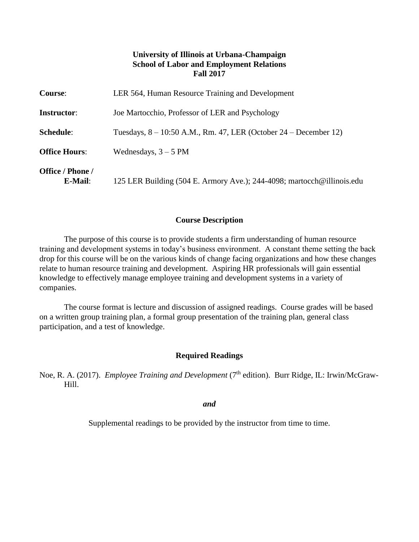# **University of Illinois at Urbana-Champaign School of Labor and Employment Relations Fall 2017**

| <b>Course:</b>              | LER 564, Human Resource Training and Development                       |
|-----------------------------|------------------------------------------------------------------------|
| <b>Instructor:</b>          | Joe Martocchio, Professor of LER and Psychology                        |
| <b>Schedule:</b>            | Tuesdays, $8 - 10:50$ A.M., Rm. 47, LER (October 24 – December 12)     |
| <b>Office Hours:</b>        | Wednesdays, $3 - 5$ PM                                                 |
| Office / Phone /<br>E-Mail: | 125 LER Building (504 E. Armory Ave.); 244-4098; martocch@illinois.edu |

#### **Course Description**

The purpose of this course is to provide students a firm understanding of human resource training and development systems in today's business environment. A constant theme setting the back drop for this course will be on the various kinds of change facing organizations and how these changes relate to human resource training and development. Aspiring HR professionals will gain essential knowledge to effectively manage employee training and development systems in a variety of companies.

The course format is lecture and discussion of assigned readings. Course grades will be based on a written group training plan, a formal group presentation of the training plan, general class participation, and a test of knowledge.

# **Required Readings**

Noe, R. A. (2017). *Employee Training and Development* (7<sup>th</sup> edition). Burr Ridge, IL: Irwin/McGraw-Hill.

*and*

Supplemental readings to be provided by the instructor from time to time.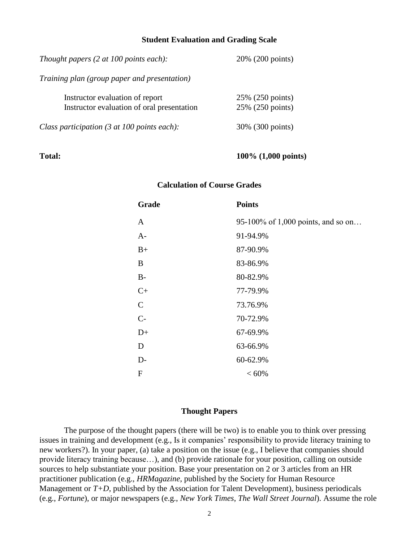#### **Student Evaluation and Grading Scale**

| Thought papers $(2 \text{ at } 100 \text{ points each})$ :                    | 20% (200 points)                     |  |
|-------------------------------------------------------------------------------|--------------------------------------|--|
| Training plan (group paper and presentation)                                  |                                      |  |
| Instructor evaluation of report<br>Instructor evaluation of oral presentation | 25% (250 points)<br>25% (250 points) |  |
| Class participation (3 at 100 points each):                                   | 30% (300 points)                     |  |

#### **Total: 100% (1,000 points)**

#### **Calculation of Course Grades**

| Grade         | <b>Points</b>                      |
|---------------|------------------------------------|
| A             | 95-100% of 1,000 points, and so on |
| $A-$          | 91-94.9%                           |
| $B+$          | 87-90.9%                           |
| B             | 83-86.9%                           |
| $B-$          | 80-82.9%                           |
| $C+$          | 77-79.9%                           |
| $\mathcal{C}$ | 73.76.9%                           |
| $C-$          | 70-72.9%                           |
| $D+$          | 67-69.9%                           |
| D             | 63-66.9%                           |
| $D-$          | 60-62.9%                           |
| F             | ${}< 60\%$                         |

#### **Thought Papers**

The purpose of the thought papers (there will be two) is to enable you to think over pressing issues in training and development (e.g., Is it companies' responsibility to provide literacy training to new workers?). In your paper, (a) take a position on the issue (e.g., I believe that companies should provide literacy training because…), and (b) provide rationale for your position, calling on outside sources to help substantiate your position. Base your presentation on 2 or 3 articles from an HR practitioner publication (e.g., *HRMagazine*, published by the Society for Human Resource Management or *T+D*, published by the Association for Talent Development), business periodicals (e.g., *Fortune*), or major newspapers (e.g., *New York Times*, *The Wall Street Journal*). Assume the role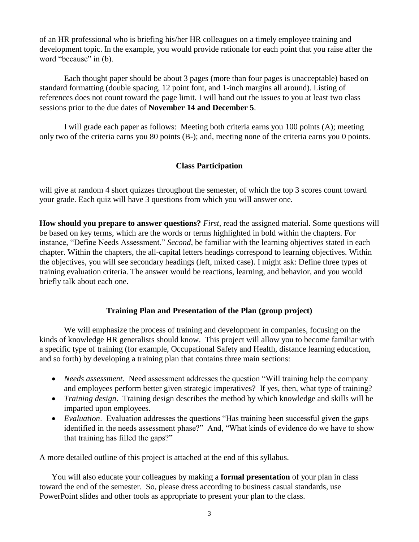of an HR professional who is briefing his/her HR colleagues on a timely employee training and development topic. In the example, you would provide rationale for each point that you raise after the word "because" in (b).

Each thought paper should be about 3 pages (more than four pages is unacceptable) based on standard formatting (double spacing, 12 point font, and 1-inch margins all around). Listing of references does not count toward the page limit. I will hand out the issues to you at least two class sessions prior to the due dates of **November 14 and December 5**.

I will grade each paper as follows: Meeting both criteria earns you 100 points (A); meeting only two of the criteria earns you 80 points (B-); and, meeting none of the criteria earns you 0 points.

# **Class Participation**

will give at random 4 short quizzes throughout the semester, of which the top 3 scores count toward your grade. Each quiz will have 3 questions from which you will answer one.

**How should you prepare to answer questions?** *First*, read the assigned material. Some questions will be based on key terms, which are the words or terms highlighted in bold within the chapters. For instance, "Define Needs Assessment." *Second*, be familiar with the learning objectives stated in each chapter. Within the chapters, the all-capital letters headings correspond to learning objectives. Within the objectives, you will see secondary headings (left, mixed case). I might ask: Define three types of training evaluation criteria. The answer would be reactions, learning, and behavior, and you would briefly talk about each one.

# **Training Plan and Presentation of the Plan (group project)**

We will emphasize the process of training and development in companies, focusing on the kinds of knowledge HR generalists should know. This project will allow you to become familiar with a specific type of training (for example, Occupational Safety and Health, distance learning education, and so forth) by developing a training plan that contains three main sections:

- *Needs assessment*. Need assessment addresses the question "Will training help the company and employees perform better given strategic imperatives? If yes, then, what type of training?
- *Training design*. Training design describes the method by which knowledge and skills will be imparted upon employees.
- *Evaluation*. Evaluation addresses the questions "Has training been successful given the gaps identified in the needs assessment phase?" And, "What kinds of evidence do we have to show that training has filled the gaps?"

A more detailed outline of this project is attached at the end of this syllabus.

You will also educate your colleagues by making a **formal presentation** of your plan in class toward the end of the semester. So, please dress according to business casual standards, use PowerPoint slides and other tools as appropriate to present your plan to the class.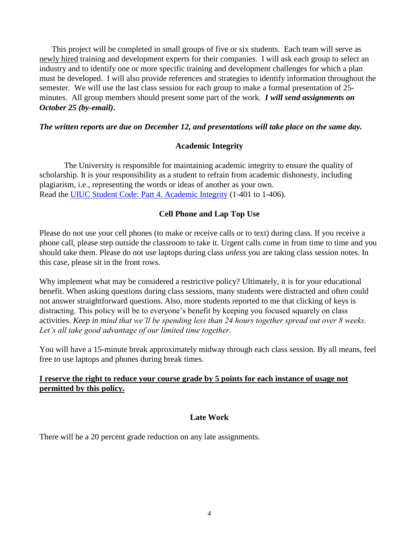This project will be completed in small groups of five or six students. Each team will serve as newly hired training and development experts for their companies. I will ask each group to select an industry and to identify one or more specific training and development challenges for which a plan must be developed. I will also provide references and strategies to identify information throughout the semester. We will use the last class session for each group to make a formal presentation of 25 minutes. All group members should present some part of the work. *I will send assignments on October 25 (by-email)***.**

### *The written reports are due on December 12, and presentations will take place on the same day.*

### **Academic Integrity**

The University is responsible for maintaining academic integrity to ensure the quality of scholarship. It is your responsibility as a student to refrain from academic dishonesty, including plagiarism, i.e., representing the words or ideas of another as your own. Read the [UIUC Student Code: Part 4. Academic Integrity](http://admin.illinois.edu/policy/code/article1_part4_1-401.html) (1-401 to 1-406).

# **Cell Phone and Lap Top Use**

Please do not use your cell phones (to make or receive calls or to text) during class. If you receive a phone call, please step outside the classroom to take it. Urgent calls come in from time to time and you should take them. Please do not use laptops during class *unless* you are taking class session notes. In this case, please sit in the front rows.

Why implement what may be considered a restrictive policy? Ultimately, it is for your educational benefit. When asking questions during class sessions, many students were distracted and often could not answer straightforward questions. Also, more students reported to me that clicking of keys is distracting. This policy will be to everyone's benefit by keeping you focused squarely on class activities. *Keep in mind that we'll be spending less than 24 hours together spread out over 8 weeks. Let's all take good advantage of our limited time together.*

You will have a 15-minute break approximately midway through each class session. By all means, feel free to use laptops and phones during break times.

# **I reserve the right to reduce your course grade by 5 points for each instance of usage not permitted by this policy.**

# **Late Work**

There will be a 20 percent grade reduction on any late assignments.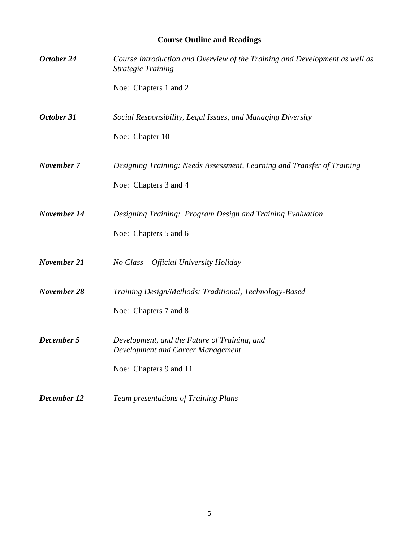# **Course Outline and Readings**

| October 24  | Course Introduction and Overview of the Training and Development as well as<br><b>Strategic Training</b> |
|-------------|----------------------------------------------------------------------------------------------------------|
|             | Noe: Chapters 1 and 2                                                                                    |
| October 31  | Social Responsibility, Legal Issues, and Managing Diversity                                              |
|             | Noe: Chapter 10                                                                                          |
| November 7  | Designing Training: Needs Assessment, Learning and Transfer of Training                                  |
|             | Noe: Chapters 3 and 4                                                                                    |
| November 14 | Designing Training: Program Design and Training Evaluation                                               |
|             | Noe: Chapters 5 and 6                                                                                    |
| November 21 | No Class - Official University Holiday                                                                   |
| November 28 | Training Design/Methods: Traditional, Technology-Based                                                   |
|             | Noe: Chapters 7 and 8                                                                                    |
| December 5  | Development, and the Future of Training, and<br>Development and Career Management                        |
|             | Noe: Chapters 9 and 11                                                                                   |
| December 12 | Team presentations of Training Plans                                                                     |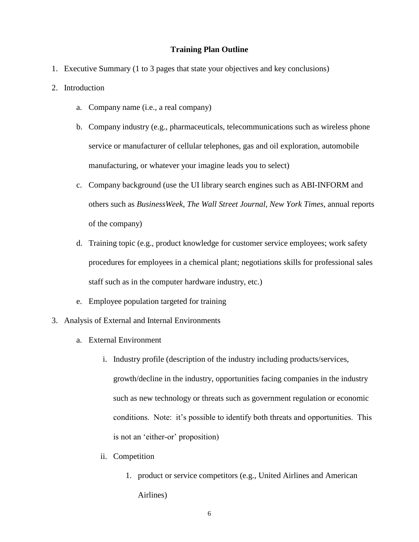#### **Training Plan Outline**

- 1. Executive Summary (1 to 3 pages that state your objectives and key conclusions)
- 2. Introduction
	- a. Company name (i.e., a real company)
	- b. Company industry (e.g., pharmaceuticals, telecommunications such as wireless phone service or manufacturer of cellular telephones, gas and oil exploration, automobile manufacturing, or whatever your imagine leads you to select)
	- c. Company background (use the UI library search engines such as ABI-INFORM and others such as *BusinessWeek*, *The Wall Street Journal*, *New York Times*, annual reports of the company)
	- d. Training topic (e.g., product knowledge for customer service employees; work safety procedures for employees in a chemical plant; negotiations skills for professional sales staff such as in the computer hardware industry, etc.)
	- e. Employee population targeted for training
- 3. Analysis of External and Internal Environments
	- a. External Environment
		- i. Industry profile (description of the industry including products/services, growth/decline in the industry, opportunities facing companies in the industry such as new technology or threats such as government regulation or economic conditions. Note: it's possible to identify both threats and opportunities. This is not an 'either-or' proposition)
		- ii. Competition
			- 1. product or service competitors (e.g., United Airlines and American Airlines)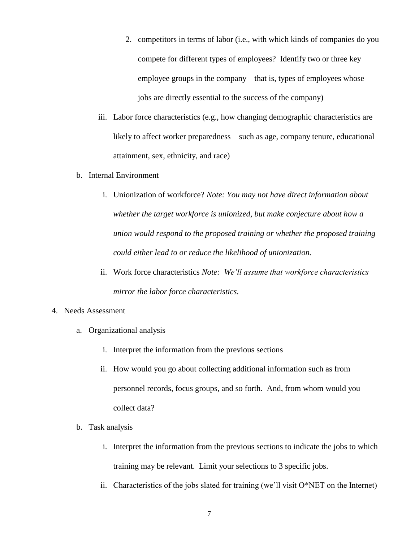- 2. competitors in terms of labor (i.e., with which kinds of companies do you compete for different types of employees? Identify two or three key employee groups in the company – that is, types of employees whose jobs are directly essential to the success of the company)
- iii. Labor force characteristics (e.g., how changing demographic characteristics are likely to affect worker preparedness – such as age, company tenure, educational attainment, sex, ethnicity, and race)
- b. Internal Environment
	- i. Unionization of workforce? *Note: You may not have direct information about whether the target workforce is unionized, but make conjecture about how a union would respond to the proposed training or whether the proposed training could either lead to or reduce the likelihood of unionization.*
	- ii. Work force characteristics *Note: We'll assume that workforce characteristics mirror the labor force characteristics.*

#### 4. Needs Assessment

- a. Organizational analysis
	- i. Interpret the information from the previous sections
	- ii. How would you go about collecting additional information such as from personnel records, focus groups, and so forth. And, from whom would you collect data?
- b. Task analysis
	- i. Interpret the information from the previous sections to indicate the jobs to which training may be relevant. Limit your selections to 3 specific jobs.
	- ii. Characteristics of the jobs slated for training (we'll visit  $O^*NET$  on the Internet)